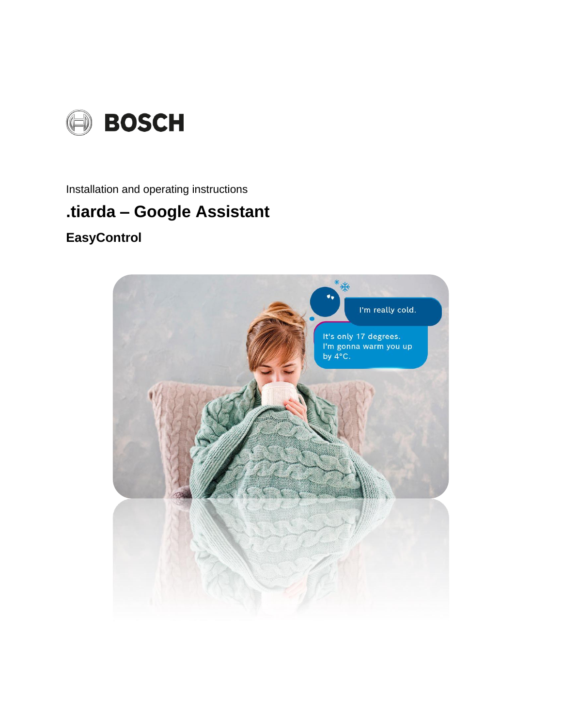

Installation and operating instructions

## .tiarda - Google Assistant

## **EasyControl**

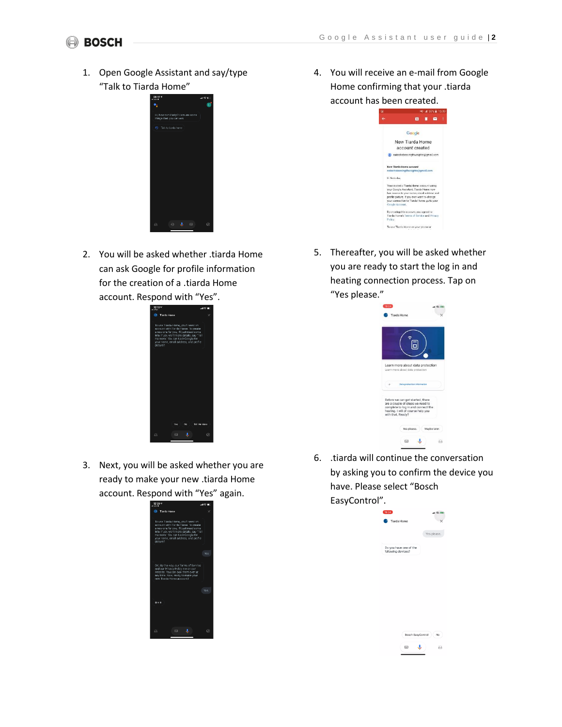## **BOSCH**

1. Open Google Assistant and say/type "Talk to Tiarda Home"



2. You will be asked whether .tiarda Home can ask Google for profile information for the creation of a .tiarda Home account. Respond with "Yes".



3. Next, you will be asked whether you are ready to make your new .tiarda Home account. Respond with "Yes" again.



4. You will receive an e-mail from Google Home confirming that your .tiarda account has been created.

| c | MAI 4 59% 2 15:09                                                                         |  |  |
|---|-------------------------------------------------------------------------------------------|--|--|
|   | ٠                                                                                         |  |  |
|   | Google                                                                                    |  |  |
|   | New Tiarda Home                                                                           |  |  |
|   | account created                                                                           |  |  |
|   | natashabassingthweighte@gmail.com                                                         |  |  |
|   | New Tiarda Home account                                                                   |  |  |
|   | natashabassingthwaighte@gmail.com                                                         |  |  |
|   | Hi Natasha.                                                                               |  |  |
|   | You created a Tiarda Home account using<br>your Google Assistant, Tiarda Home now         |  |  |
|   | has access to your name, email address and<br>profile picture. If you ever want to change |  |  |
|   | your connection to Tiarda Home, go to your<br>Google Account.                             |  |  |
|   | By creating this account, you agreed to                                                   |  |  |
|   | Tiarda Home's Terms of Service and Privacy<br>Policy.                                     |  |  |
|   | To use Tiarda Home on your phone or                                                       |  |  |

5. Thereafter, you will be asked whether you are ready to start the log in and heating connection process. Tap on "Yes please."



6. .tiarda will continue the conversation by asking you to confirm the device you have. Please select "Bosch EasyControl".

| 15:04                                        | $H \otimes H$ |
|----------------------------------------------|---------------|
| <b>Tiarda Home</b>                           |               |
|                                              | Yes please.   |
| Do you have one of the<br>following devices? |               |
|                                              |               |
|                                              |               |
|                                              |               |
|                                              |               |
|                                              |               |
|                                              |               |
|                                              |               |

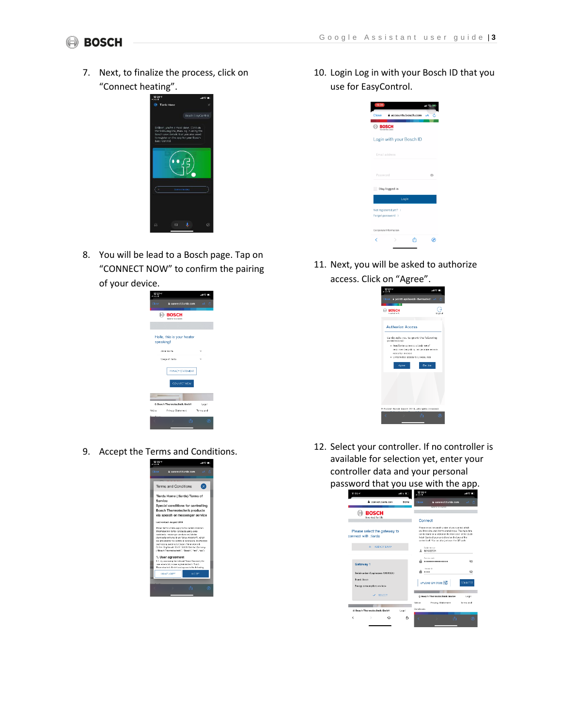7. Next, to finalize the process, click on "Connect heating".



8. You will be lead to a Bosch page. Tap on "CONNECT NOW" to confirm the pairing of your device.

| $12:27 =$<br>Rearch |                                       | $\mathbf{H} \otimes \mathbf{H}$ |
|---------------------|---------------------------------------|---------------------------------|
| Close               | a connect tiarda.com                  | xA.<br>iđ.                      |
| т                   | <b>BOSCH</b><br>Declared Size Leiters |                                 |
|                     |                                       |                                 |
| speaking!           | Hello, this is your heater            |                                 |
|                     | about Jarda                           |                                 |
|                     | <b>Usage of Iterda</b>                |                                 |
|                     | PRIVACY STATEMENT                     |                                 |
|                     | CONNECT NOW                           |                                 |
| -                   |                                       |                                 |
|                     | © Bosch Thermotechnik GmbH            | Leagl                           |
| Notice              | Privacy Statement Terms and           |                                 |
|                     | m                                     | $\omega$                        |
|                     |                                       |                                 |

9. Accept the Terms and Conditions.



10. Login Log in with your Bosch ID that you use for EasyControl.

| 16:05                                      | H(25) |
|--------------------------------------------|-------|
| a accounts.bosch.com<br>Close              |       |
| <b>BOSCH</b>                               |       |
| Login with your Bosch ID                   |       |
| Email address                              |       |
| Password                                   | ®     |
| Stay logged in                             |       |
| Login                                      |       |
| Not registered yet? ><br>Forgot password > |       |
| Corporate Information                      |       |
| ł                                          |       |

11. Next, you will be asked to authorize access. Click on "Agree".



12. Select your controller. If no controller is available for selection yet, enter your controller data and your personal password that you use with the app.